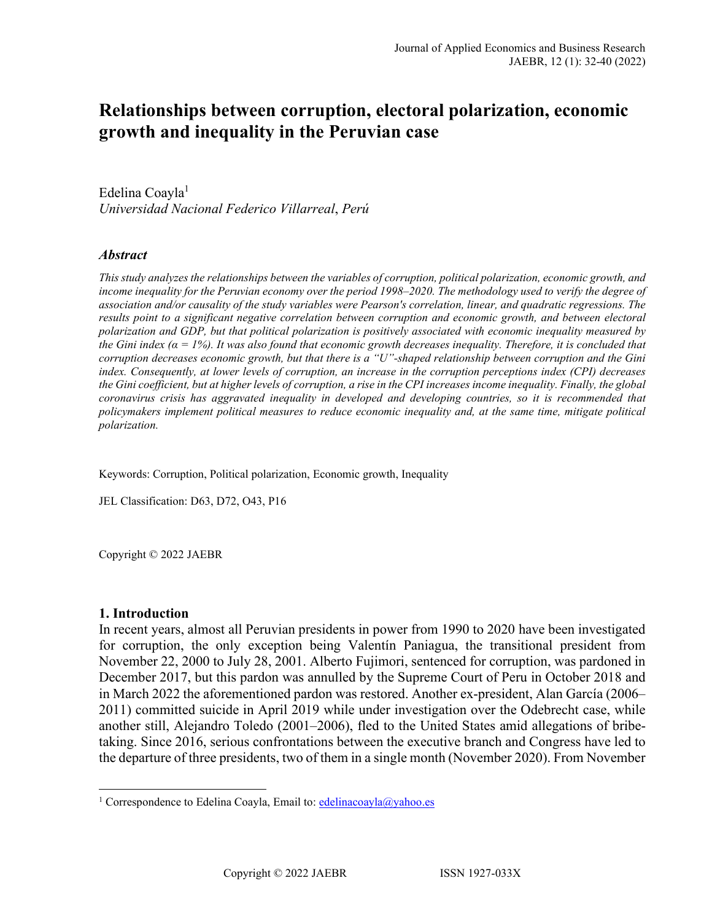# **Relationships between corruption, electoral polarization, economic growth and inequality in the Peruvian case**

Edel[i](#page-0-0)na Coayla<sup>1</sup> *Universidad Nacional Federico Villarreal*, *Perú*

### *Abstract*

*This study analyzes the relationships between the variables of corruption, political polarization, economic growth, and income inequality for the Peruvian economy over the period 1998–2020. The methodology used to verify the degree of association and/or causality of the study variables were Pearson's correlation, linear, and quadratic regressions. The results point to a significant negative correlation between corruption and economic growth, and between electoral polarization and GDP, but that political polarization is positively associated with economic inequality measured by the Gini index (α = 1%). It was also found that economic growth decreases inequality. Therefore, it is concluded that corruption decreases economic growth, but that there is a "U"-shaped relationship between corruption and the Gini index. Consequently, at lower levels of corruption, an increase in the corruption perceptions index (CPI) decreases the Gini coefficient, but at higher levels of corruption, a rise in the CPI increases income inequality. Finally, the global coronavirus crisis has aggravated inequality in developed and developing countries, so it is recommended that policymakers implement political measures to reduce economic inequality and, at the same time, mitigate political polarization.* 

Keywords: Corruption, Political polarization, Economic growth, Inequality

JEL Classification: D63, D72, O43, P16

Copyright © 2022 JAEBR

#### **1. Introduction**

In recent years, almost all Peruvian presidents in power from 1990 to 2020 have been investigated for corruption, the only exception being Valentín Paniagua, the transitional president from November 22, 2000 to July 28, 2001. Alberto Fujimori, sentenced for corruption, was pardoned in December 2017, but this pardon was annulled by the Supreme Court of Peru in October 2018 and in March 2022 the aforementioned pardon was restored. Another ex-president, Alan García (2006– 2011) committed suicide in April 2019 while under investigation over the Odebrecht case, while another still, Alejandro Toledo (2001–2006), fled to the United States amid allegations of bribetaking. Since 2016, serious confrontations between the executive branch and Congress have led to the departure of three presidents, two of them in a single month (November 2020). From November

<span id="page-0-0"></span><sup>&</sup>lt;sup>1</sup> Correspondence to Edelina Coayla, Email to: [edelinacoayla@yahoo.es](mailto:edelinacoayla@yahoo.es)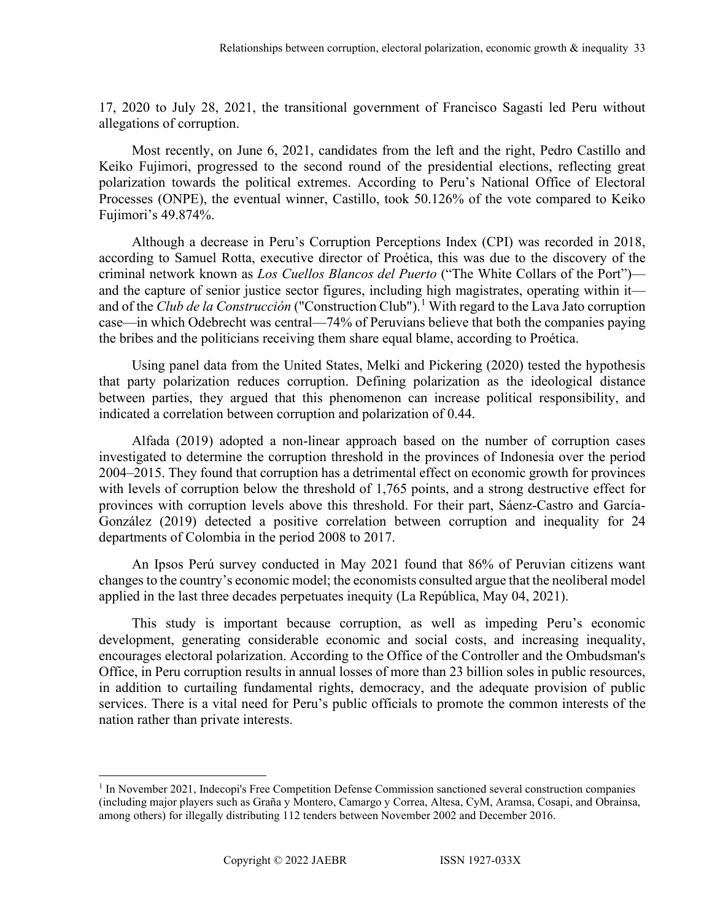17, 2020 to July 28, 2021, the transitional government of Francisco Sagasti led Peru without allegations of corruption.

Most recently, on June 6, 2021, candidates from the left and the right, Pedro Castillo and Keiko Fujimori, progressed to the second round of the presidential elections, reflecting great polarization towards the political extremes. According to Peru's National Office of Electoral Processes (ONPE), the eventual winner, Castillo, took 50.126% of the vote compared to Keiko Fujimori's 49.874%.

Although a decrease in Peru's Corruption Perceptions Index (CPI) was recorded in 2018, according to Samuel Rotta, executive director of Proética, this was due to the discovery of the criminal network known as *Los Cuellos Blancos del Puerto* ("The White Collars of the Port") and the capture of senior justice sector figures, including high magistrates, operating within it and of the *Club de la Construcción* ("Construction Club"). [1](#page-1-0) With regard to the Lava Jato corruption case—in which Odebrecht was central—74% of Peruvians believe that both the companies paying the bribes and the politicians receiving them share equal blame, according to Proética.

Using panel data from the United States, Melki and Pickering (2020) tested the hypothesis that party polarization reduces corruption. Defining polarization as the ideological distance between parties, they argued that this phenomenon can increase political responsibility, and indicated a correlation between corruption and polarization of 0.44.

Alfada (2019) adopted a non-linear approach based on the number of corruption cases investigated to determine the corruption threshold in the provinces of Indonesia over the period 2004–2015. They found that corruption has a detrimental effect on economic growth for provinces with levels of corruption below the threshold of 1,765 points, and a strong destructive effect for provinces with corruption levels above this threshold. For their part, Sáenz-Castro and García-González (2019) detected a positive correlation between corruption and inequality for 24 departments of Colombia in the period 2008 to 2017.

An Ipsos Perú survey conducted in May 2021 found that 86% of Peruvian citizens want changes to the country's economic model; the economists consulted argue that the neoliberal model applied in the last three decades perpetuates inequity (La República, May 04, 2021).

This study is important because corruption, as well as impeding Peru's economic development, generating considerable economic and social costs, and increasing inequality, encourages electoral polarization. According to the Office of the Controller and the Ombudsman's Office, in Peru corruption results in annual losses of more than 23 billion soles in public resources, in addition to curtailing fundamental rights, democracy, and the adequate provision of public services. There is a vital need for Peru's public officials to promote the common interests of the nation rather than private interests.

<span id="page-1-0"></span><sup>&</sup>lt;sup>1</sup> In November 2021, Indecopi's Free Competition Defense Commission sanctioned several construction companies (including major players such as Graña y Montero, Camargo y Correa, Altesa, CyM, Aramsa, Cosapi, and Obrainsa, among others) for illegally distributing 112 tenders between November 2002 and December 2016.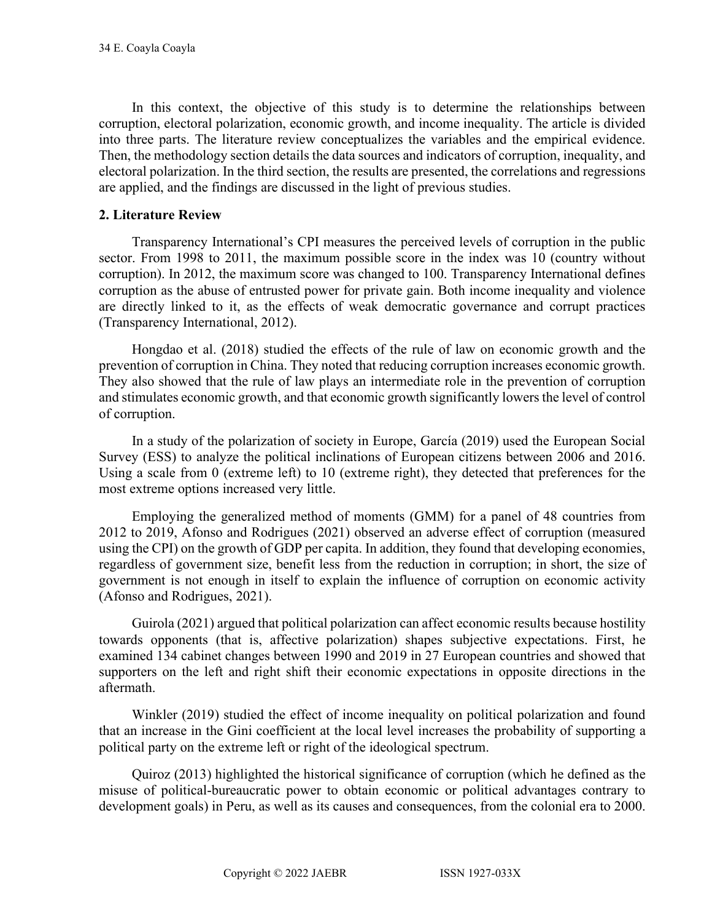In this context, the objective of this study is to determine the relationships between corruption, electoral polarization, economic growth, and income inequality. The article is divided into three parts. The literature review conceptualizes the variables and the empirical evidence. Then, the methodology section details the data sources and indicators of corruption, inequality, and electoral polarization. In the third section, the results are presented, the correlations and regressions are applied, and the findings are discussed in the light of previous studies.

## **2. Literature Review**

Transparency International's CPI measures the perceived levels of corruption in the public sector. From 1998 to 2011, the maximum possible score in the index was 10 (country without corruption). In 2012, the maximum score was changed to 100. Transparency International defines corruption as the abuse of entrusted power for private gain. Both income inequality and violence are directly linked to it, as the effects of weak democratic governance and corrupt practices (Transparency International, 2012).

Hongdao et al. (2018) studied the effects of the rule of law on economic growth and the prevention of corruption in China. They noted that reducing corruption increases economic growth. They also showed that the rule of law plays an intermediate role in the prevention of corruption and stimulates economic growth, and that economic growth significantly lowers the level of control of corruption.

In a study of the polarization of society in Europe, García (2019) used the European Social Survey (ESS) to analyze the political inclinations of European citizens between 2006 and 2016. Using a scale from 0 (extreme left) to 10 (extreme right), they detected that preferences for the most extreme options increased very little.

Employing the generalized method of moments (GMM) for a panel of 48 countries from 2012 to 2019, Afonso and Rodrigues (2021) observed an adverse effect of corruption (measured using the CPI) on the growth of GDP per capita. In addition, they found that developing economies, regardless of government size, benefit less from the reduction in corruption; in short, the size of government is not enough in itself to explain the influence of corruption on economic activity (Afonso and Rodrigues, 2021).

Guirola (2021) argued that political polarization can affect economic results because hostility towards opponents (that is, affective polarization) shapes subjective expectations. First, he examined 134 cabinet changes between 1990 and 2019 in 27 European countries and showed that supporters on the left and right shift their economic expectations in opposite directions in the aftermath.

Winkler (2019) studied the effect of income inequality on political polarization and found that an increase in the Gini coefficient at the local level increases the probability of supporting a political party on the extreme left or right of the ideological spectrum.

Quiroz (2013) highlighted the historical significance of corruption (which he defined as the misuse of political-bureaucratic power to obtain economic or political advantages contrary to development goals) in Peru, as well as its causes and consequences, from the colonial era to 2000.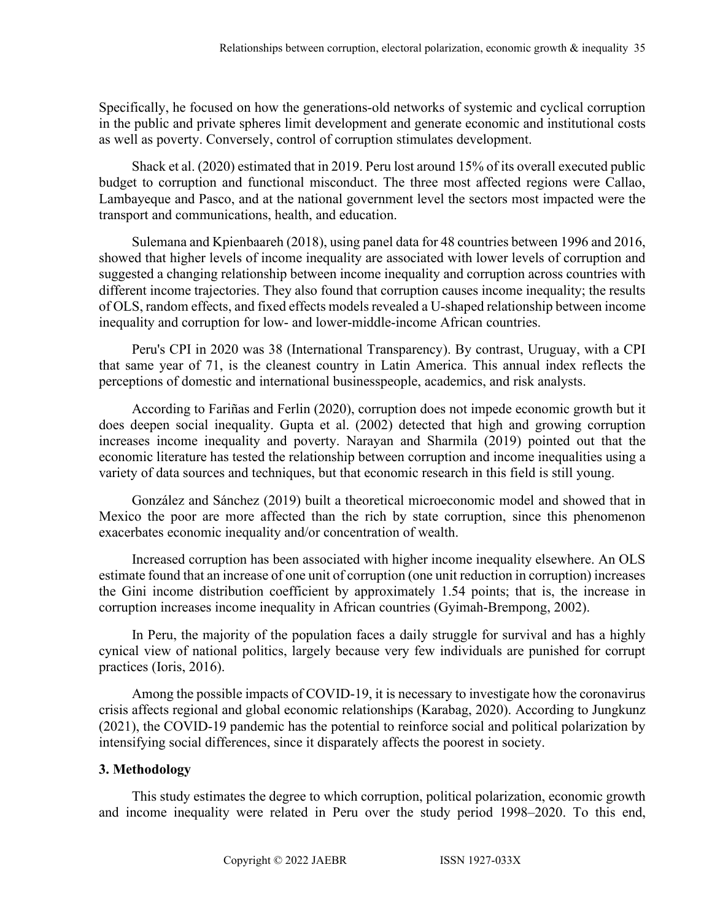Specifically, he focused on how the generations-old networks of systemic and cyclical corruption in the public and private spheres limit development and generate economic and institutional costs as well as poverty. Conversely, control of corruption stimulates development.

Shack et al. (2020) estimated that in 2019. Peru lost around 15% of its overall executed public budget to corruption and functional misconduct. The three most affected regions were Callao, Lambayeque and Pasco, and at the national government level the sectors most impacted were the transport and communications, health, and education.

Sulemana and Kpienbaareh (2018), using panel data for 48 countries between 1996 and 2016, showed that higher levels of income inequality are associated with lower levels of corruption and suggested a changing relationship between income inequality and corruption across countries with different income trajectories. They also found that corruption causes income inequality; the results of OLS, random effects, and fixed effects models revealed a U-shaped relationship between income inequality and corruption for low- and lower-middle-income African countries.

Peru's CPI in 2020 was 38 (International Transparency). By contrast, Uruguay, with a CPI that same year of 71, is the cleanest country in Latin America. This annual index reflects the perceptions of domestic and international businesspeople, academics, and risk analysts.

According to Fariñas and Ferlin (2020), corruption does not impede economic growth but it does deepen social inequality. Gupta et al. (2002) detected that high and growing corruption increases income inequality and poverty. Narayan and Sharmila (2019) pointed out that the economic literature has tested the relationship between corruption and income inequalities using a variety of data sources and techniques, but that economic research in this field is still young.

González and Sánchez (2019) built a theoretical microeconomic model and showed that in Mexico the poor are more affected than the rich by state corruption, since this phenomenon exacerbates economic inequality and/or concentration of wealth.

Increased corruption has been associated with higher income inequality elsewhere. An OLS estimate found that an increase of one unit of corruption (one unit reduction in corruption) increases the Gini income distribution coefficient by approximately 1.54 points; that is, the increase in corruption increases income inequality in African countries (Gyimah-Brempong, 2002).

In Peru, the majority of the population faces a daily struggle for survival and has a highly cynical view of national politics, largely because very few individuals are punished for corrupt practices (Ioris, 2016).

Among the possible impacts of COVID-19, it is necessary to investigate how the coronavirus crisis affects regional and global economic relationships (Karabag, 2020). According to Jungkunz (2021), the COVID-19 pandemic has the potential to reinforce social and political polarization by intensifying social differences, since it disparately affects the poorest in society.

## **3. Methodology**

This study estimates the degree to which corruption, political polarization, economic growth and income inequality were related in Peru over the study period 1998–2020. To this end,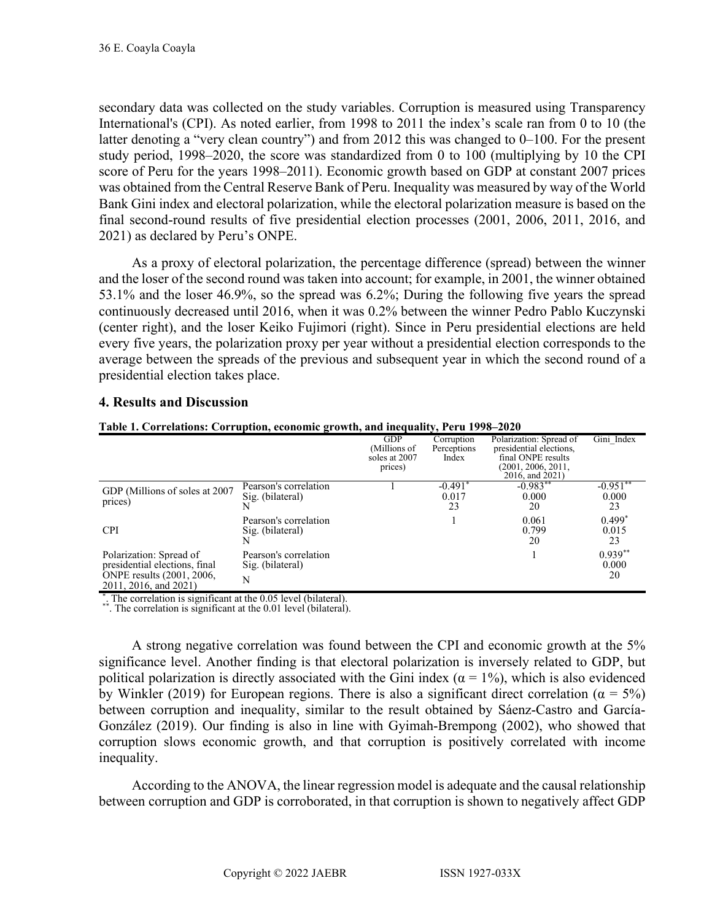secondary data was collected on the study variables. Corruption is measured using Transparency International's (CPI). As noted earlier, from 1998 to 2011 the index's scale ran from 0 to 10 (the latter denoting a "very clean country") and from 2012 this was changed to 0–100. For the present study period, 1998–2020, the score was standardized from 0 to 100 (multiplying by 10 the CPI score of Peru for the years 1998–2011). Economic growth based on GDP at constant 2007 prices was obtained from the Central Reserve Bank of Peru. Inequality was measured by way of the World Bank Gini index and electoral polarization, while the electoral polarization measure is based on the final second-round results of five presidential election processes (2001, 2006, 2011, 2016, and 2021) as declared by Peru's ONPE.

As a proxy of electoral polarization, the percentage difference (spread) between the winner and the loser of the second round was taken into account; for example, in 2001, the winner obtained 53.1% and the loser 46.9%, so the spread was 6.2%; During the following five years the spread continuously decreased until 2016, when it was 0.2% between the winner Pedro Pablo Kuczynski (center right), and the loser Keiko Fujimori (right). Since in Peru presidential elections are held every five years, the polarization proxy per year without a presidential election corresponds to the average between the spreads of the previous and subsequent year in which the second round of a presidential election takes place.

# **4. Results and Discussion**

## **Table 1. Correlations: Corruption, economic growth, and inequality, Peru 1998–2020**

|                                                                                                                |                                                | <b>GDP</b><br>(Millions of<br>soles at 2007<br>prices) | Corruption<br>Perceptions<br>Index | Polarization: Spread of<br>presidential elections,<br>final ONPE results<br>(2001, 2006, 2011,<br>2016, and 2021) | Gini Index               |
|----------------------------------------------------------------------------------------------------------------|------------------------------------------------|--------------------------------------------------------|------------------------------------|-------------------------------------------------------------------------------------------------------------------|--------------------------|
| GDP (Millions of soles at 2007)<br>prices)                                                                     | Pearson's correlation<br>Sig. (bilateral)<br>N |                                                        | $-0.491$<br>0.017<br>23            | $-0.983**$<br>0.000<br>20                                                                                         | $-0.951*$<br>0.000<br>23 |
| <b>CPI</b>                                                                                                     | Pearson's correlation<br>Sig. (bilateral)<br>N |                                                        |                                    | 0.061<br>0.799<br>20                                                                                              | $0.499*$<br>0.015<br>23  |
| Polarization: Spread of<br>presidential elections, final<br>ONPE results (2001, 2006,<br>2011, 2016, and 2021) | Pearson's correlation<br>Sig. (bilateral)<br>N |                                                        |                                    |                                                                                                                   | $0.939**$<br>0.000<br>20 |

\*. The correlation is significant at the 0.05 level (bilateral). \*\*. The correlation is significant at the 0.01 level (bilateral).

A strong negative correlation was found between the CPI and economic growth at the 5% significance level. Another finding is that electoral polarization is inversely related to GDP, but political polarization is directly associated with the Gini index ( $\alpha = 1\%$ ), which is also evidenced by Winkler (2019) for European regions. There is also a significant direct correlation ( $\alpha = 5\%$ ) between corruption and inequality, similar to the result obtained by Sáenz-Castro and García-González (2019). Our finding is also in line with Gyimah-Brempong (2002), who showed that corruption slows economic growth, and that corruption is positively correlated with income inequality.

According to the ANOVA, the linear regression model is adequate and the causal relationship between corruption and GDP is corroborated, in that corruption is shown to negatively affect GDP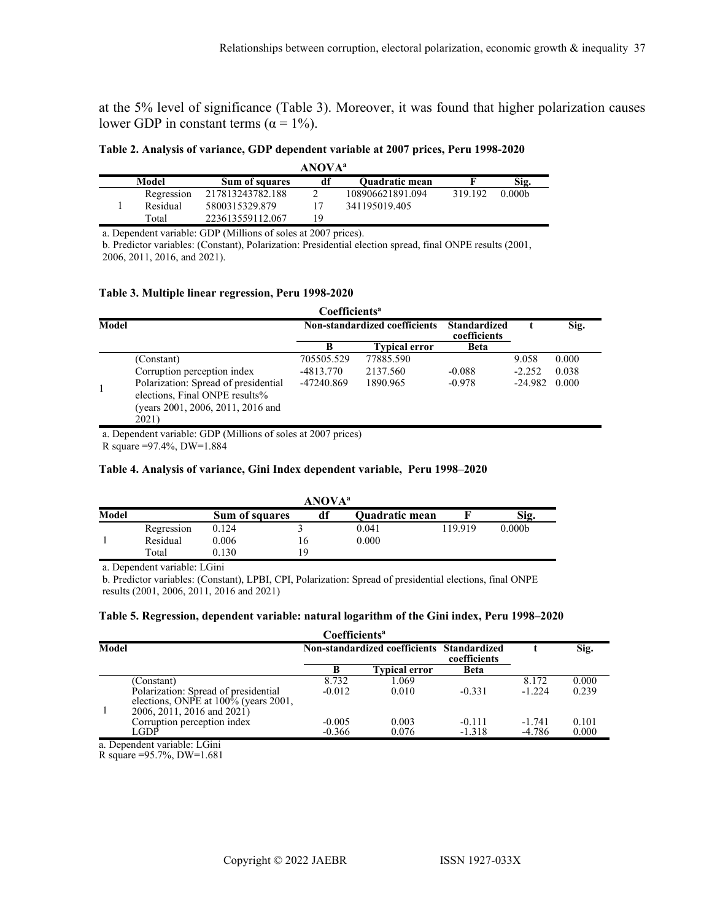at the 5% level of significance (Table 3). Moreover, it was found that higher polarization causes lower GDP in constant terms ( $\alpha = 1\%$ ).

**Table 2. Analysis of variance, GDP dependent variable at 2007 prices, Peru 1998-2020**

| ANOVA <sup>a</sup>                                     |            |                  |    |                  |         |                    |  |
|--------------------------------------------------------|------------|------------------|----|------------------|---------|--------------------|--|
| Model<br>df<br><b>Ouadratic mean</b><br>Sum of squares |            |                  |    |                  |         | Sig.               |  |
|                                                        | Regression | 217813243782.188 |    | 108906621891.094 | 319.192 | 0.000 <sub>b</sub> |  |
|                                                        | Residual   | 5800315329.879   |    | 341195019.405    |         |                    |  |
|                                                        | Total      | 223613559112.067 | 19 |                  |         |                    |  |

a. Dependent variable: GDP (Millions of soles at 2007 prices).

b. Predictor variables: (Constant), Polarization: Presidential election spread, final ONPE results (2001, 2006, 2011, 2016, and 2021).

#### **Table 3. Multiple linear regression, Peru 1998-2020**

|              | Coefficients <sup>a</sup>                                                                                            |                               |                      |                                     |           |       |  |  |
|--------------|----------------------------------------------------------------------------------------------------------------------|-------------------------------|----------------------|-------------------------------------|-----------|-------|--|--|
| <b>Model</b> |                                                                                                                      | Non-standardized coefficients |                      | <b>Standardized</b><br>coefficients |           | Sig.  |  |  |
|              |                                                                                                                      | B                             | <b>Typical error</b> | <b>Beta</b>                         |           |       |  |  |
|              | (Constant)                                                                                                           | 705505.529                    | 77885.590            |                                     | 9.058     | 0.000 |  |  |
|              | Corruption perception index                                                                                          | $-4813.770$                   | 2137.560             | $-0.088$                            | $-2.252$  | 0.038 |  |  |
|              | Polarization: Spread of presidential<br>elections, Final ONPE results%<br>(years 2001, 2006, 2011, 2016 and<br>2021) | -47240.869                    | 1890.965             | $-0.978$                            | $-24.982$ | 0.000 |  |  |

a. Dependent variable: GDP (Millions of soles at 2007 prices)

R square =97.4%, DW=1.884

#### **Table 4. Analysis of variance, Gini Index dependent variable, Peru 1998–2020**

| ANOVA <sup>a</sup>            |            |       |     |  |                       |         |                    |  |
|-------------------------------|------------|-------|-----|--|-----------------------|---------|--------------------|--|
| Model<br>df<br>Sum of squares |            |       |     |  | <b>Ouadratic mean</b> |         | Sig.               |  |
|                               | Regression | 0.124 |     |  | 0.041                 | 119.919 | 0.000 <sub>b</sub> |  |
|                               | Residual   | 0.006 | l 6 |  | 0.000                 |         |                    |  |
|                               | Total      | 0.130 | ١q  |  |                       |         |                    |  |

a. Dependent variable: LGini

b. Predictor variables: (Constant), LPBI, CPI, Polarization: Spread of presidential elections, final ONPE results (2001, 2006, 2011, 2016 and 2021)

#### **Table 5. Regression, dependent variable: natural logarithm of the Gini index, Peru 1998–2020**

|       | Coefficients <sup>a</sup>                                                                                                |                                            |                      |                      |                      |                |  |
|-------|--------------------------------------------------------------------------------------------------------------------------|--------------------------------------------|----------------------|----------------------|----------------------|----------------|--|
| Model |                                                                                                                          | Non-standardized coefficients Standardized |                      | coefficients         |                      | Sig.           |  |
|       |                                                                                                                          |                                            | <b>Typical error</b> | <b>Beta</b>          |                      |                |  |
|       | (Constant)<br>Polarization: Spread of presidential<br>elections, ONPE at 100% (years 2001,<br>2006, 2011, 2016 and 2021) | 8.732<br>$-0.012$                          | 1.069<br>0.010       | $-0.331$             | 8.172<br>$-1.224$    | 0.000<br>0.239 |  |
|       | Corruption perception index<br>LGDP<br>$\cdots$                                                                          | $-0.005$<br>$-0.366$                       | 0.003<br>0.076       | $-0.111$<br>$-1.318$ | $-1.741$<br>$-4.786$ | 0.101<br>0.000 |  |

a. Dependent variable: LGini

R square =95.7%, DW=1.681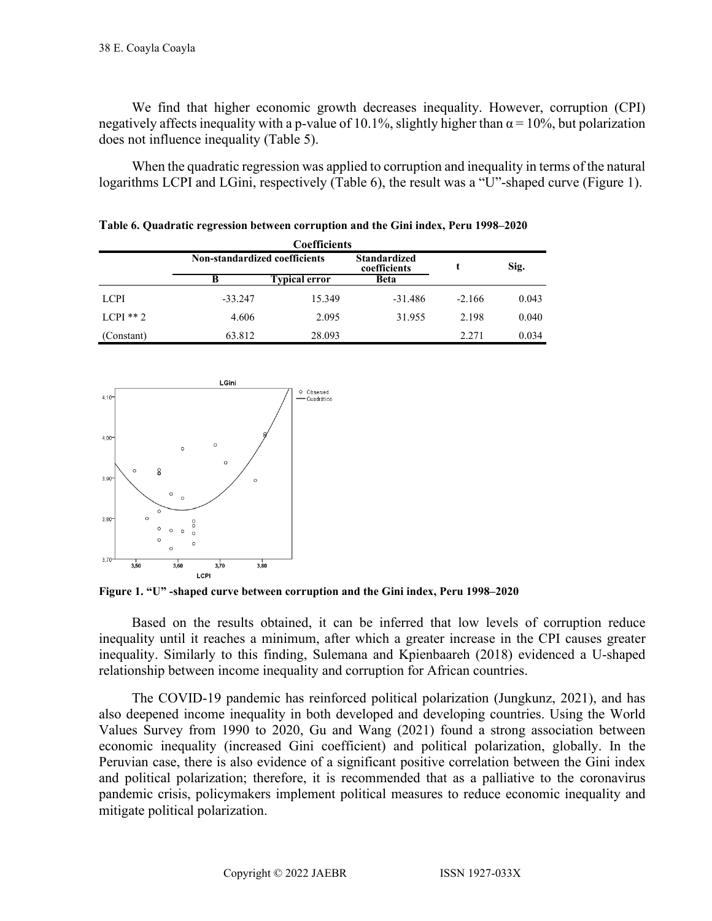We find that higher economic growth decreases inequality. However, corruption (CPI) negatively affects inequality with a p-value of 10.1%, slightly higher than  $\alpha$  = 10%, but polarization does not influence inequality (Table 5).

When the quadratic regression was applied to corruption and inequality in terms of the natural logarithms LCPI and LGini, respectively (Table 6), the result was a "U"-shaped curve (Figure 1).

| <b>Coefficients</b> |                               |                      |                                     |          |       |  |
|---------------------|-------------------------------|----------------------|-------------------------------------|----------|-------|--|
|                     | Non-standardized coefficients |                      | <b>Standardized</b><br>coefficients |          | Sig.  |  |
|                     | B                             | <b>Typical error</b> | <b>Beta</b>                         |          |       |  |
| <b>LCPI</b>         | $-33.247$                     | 15.349               | $-31.486$                           | $-2.166$ | 0.043 |  |
| $L$ CPI $**$ 2      | 4.606                         | 2.095                | 31.955                              | 2.198    | 0.040 |  |
| (Constant)          | 63.812                        | 28.093               |                                     | 2.271    | 0.034 |  |

**Table 6. Quadratic regression between corruption and the Gini index, Peru 1998–2020**



**Figure 1. "U" -shaped curve between corruption and the Gini index, Peru 1998–2020**

Based on the results obtained, it can be inferred that low levels of corruption reduce inequality until it reaches a minimum, after which a greater increase in the CPI causes greater inequality. Similarly to this finding, Sulemana and Kpienbaareh (2018) evidenced a U-shaped relationship between income inequality and corruption for African countries.

The COVID-19 pandemic has reinforced political polarization (Jungkunz, 2021), and has also deepened income inequality in both developed and developing countries. Using the World Values Survey from 1990 to 2020, Gu and Wang (2021) found a strong association between economic inequality (increased Gini coefficient) and political polarization, globally. In the Peruvian case, there is also evidence of a significant positive correlation between the Gini index and political polarization; therefore, it is recommended that as a palliative to the coronavirus pandemic crisis, policymakers implement political measures to reduce economic inequality and mitigate political polarization.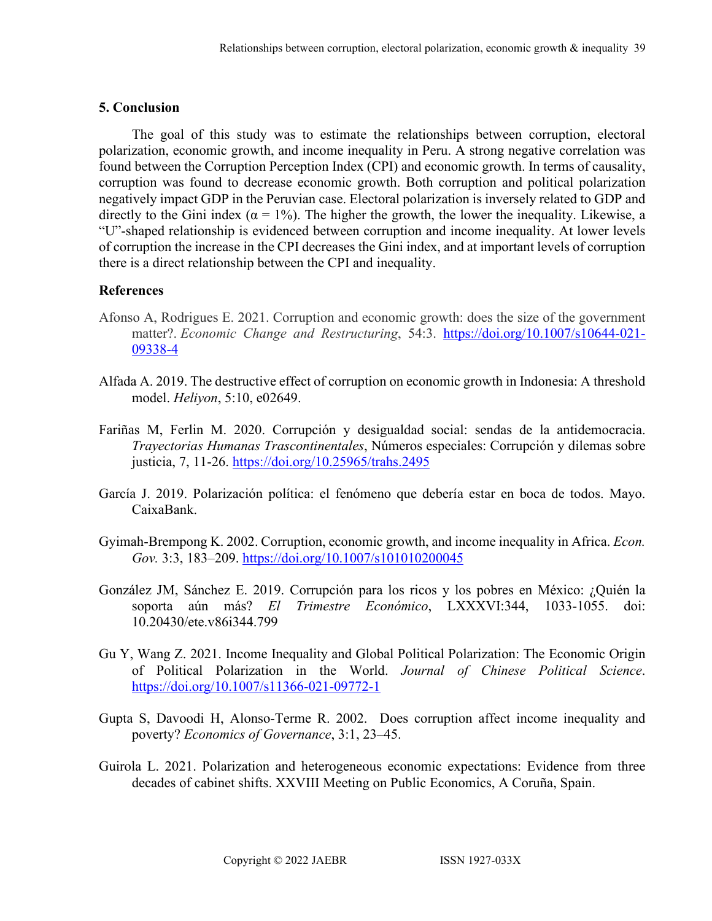# **5. Conclusion**

The goal of this study was to estimate the relationships between corruption, electoral polarization, economic growth, and income inequality in Peru. A strong negative correlation was found between the Corruption Perception Index (CPI) and economic growth. In terms of causality, corruption was found to decrease economic growth. Both corruption and political polarization negatively impact GDP in the Peruvian case. Electoral polarization is inversely related to GDP and directly to the Gini index ( $\alpha = 1\%$ ). The higher the growth, the lower the inequality. Likewise, a "U"-shaped relationship is evidenced between corruption and income inequality. At lower levels of corruption the increase in the CPI decreases the Gini index, and at important levels of corruption there is a direct relationship between the CPI and inequality.

# **References**

- Afonso A, Rodrigues E. 2021. Corruption and economic growth: does the size of the government matter?. *Economic Change and Restructuring*, 54:3. [https://doi.org/10.1007/s10644-021-](https://doi.org/10.1007/s10644-021-09338-4) [09338-4](https://doi.org/10.1007/s10644-021-09338-4)
- Alfada A. 2019. The destructive effect of corruption on economic growth in Indonesia: A threshold model. *Heliyon*, 5:10, e02649.
- Fariñas M, Ferlin M. 2020. Corrupción y desigualdad social: sendas de la antidemocracia. *Trayectorias Humanas Trascontinentales*, Números especiales: Corrupción y dilemas sobre justicia, 7, 11-26.<https://doi.org/10.25965/trahs.2495>
- García J. 2019. Polarización política: el fenómeno que debería estar en boca de todos. Mayo. CaixaBank.
- Gyimah-Brempong K. 2002. Corruption, economic growth, and income inequality in Africa. *Econ. Gov.* 3:3, 183–209.<https://doi.org/10.1007/s101010200045>
- González JM, Sánchez E. 2019. Corrupción para los ricos y los pobres en México: ¿Quién la soporta aún más? *El Trimestre Económico*, LXXXVI:344, 1033-1055. doi: 10.20430/ete.v86i344.799
- Gu Y, Wang Z. 2021. Income Inequality and Global Political Polarization: The Economic Origin of Political Polarization in the World. *Journal of Chinese Political Science*. <https://doi.org/10.1007/s11366-021-09772-1>
- Gupta S, Davoodi H, Alonso-Terme R. 2002. Does corruption affect income inequality and poverty? *Economics of Governance*, 3:1, 23–45.
- Guirola L. 2021. Polarization and heterogeneous economic expectations: Evidence from three decades of cabinet shifts. XXVIII Meeting on Public Economics, A Coruña, Spain.